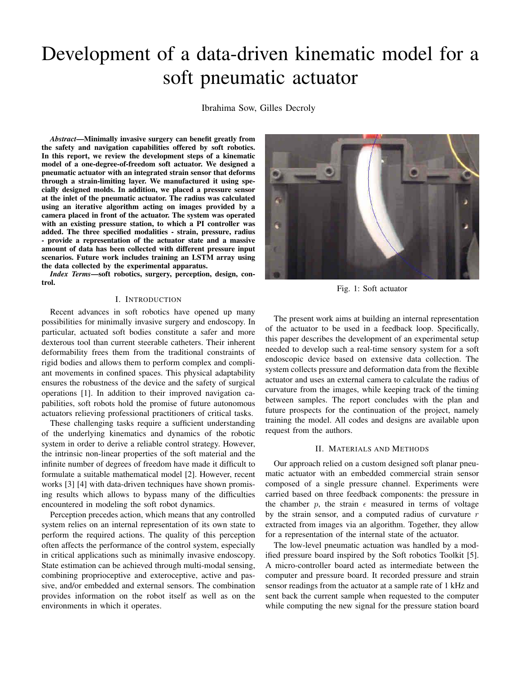# Development of a data-driven kinematic model for a soft pneumatic actuator

Ibrahima Sow, Gilles Decroly

*Abstract*—Minimally invasive surgery can benefit greatly from the safety and navigation capabilities offered by soft robotics. In this report, we review the development steps of a kinematic model of a one-degree-of-freedom soft actuator. We designed a pneumatic actuator with an integrated strain sensor that deforms through a strain-limiting layer. We manufactured it using specially designed molds. In addition, we placed a pressure sensor at the inlet of the pneumatic actuator. The radius was calculated using an iterative algorithm acting on images provided by a camera placed in front of the actuator. The system was operated with an existing pressure station, to which a PI controller was added. The three specified modalities - strain, pressure, radius - provide a representation of the actuator state and a massive amount of data has been collected with different pressure input scenarios. Future work includes training an LSTM array using the data collected by the experimental apparatus.

*Index Terms*—soft robotics, surgery, perception, design, control.

# I. INTRODUCTION

Recent advances in soft robotics have opened up many possibilities for minimally invasive surgery and endoscopy. In particular, actuated soft bodies constitute a safer and more dexterous tool than current steerable catheters. Their inherent deformability frees them from the traditional constraints of rigid bodies and allows them to perform complex and compliant movements in confined spaces. This physical adaptability ensures the robustness of the device and the safety of surgical operations [1]. In addition to their improved navigation capabilities, soft robots hold the promise of future autonomous actuators relieving professional practitioners of critical tasks.

These challenging tasks require a sufficient understanding of the underlying kinematics and dynamics of the robotic system in order to derive a reliable control strategy. However, the intrinsic non-linear properties of the soft material and the infinite number of degrees of freedom have made it difficult to formulate a suitable mathematical model [2]. However, recent works [3] [4] with data-driven techniques have shown promising results which allows to bypass many of the difficulties encountered in modeling the soft robot dynamics.

Perception precedes action, which means that any controlled system relies on an internal representation of its own state to perform the required actions. The quality of this perception often affects the performance of the control system, especially in critical applications such as minimally invasive endoscopy. State estimation can be achieved through multi-modal sensing, combining proprioceptive and exteroceptive, active and passive, and/or embedded and external sensors. The combination provides information on the robot itself as well as on the environments in which it operates.



Fig. 1: Soft actuator

The present work aims at building an internal representation of the actuator to be used in a feedback loop. Specifically, this paper describes the development of an experimental setup needed to develop such a real-time sensory system for a soft endoscopic device based on extensive data collection. The system collects pressure and deformation data from the flexible actuator and uses an external camera to calculate the radius of curvature from the images, while keeping track of the timing between samples. The report concludes with the plan and future prospects for the continuation of the project, namely training the model. All codes and designs are available upon request from the authors.

## II. MATERIALS AND METHODS

Our approach relied on a custom designed soft planar pneumatic actuator with an embedded commercial strain sensor composed of a single pressure channel. Experiments were carried based on three feedback components: the pressure in the chamber p, the strain  $\epsilon$  measured in terms of voltage by the strain sensor, and a computed radius of curvature  $r$ extracted from images via an algorithm. Together, they allow for a representation of the internal state of the actuator.

The low-level pneumatic actuation was handled by a modified pressure board inspired by the Soft robotics Toolkit [5]. A micro-controller board acted as intermediate between the computer and pressure board. It recorded pressure and strain sensor readings from the actuator at a sample rate of 1 kHz and sent back the current sample when requested to the computer while computing the new signal for the pressure station board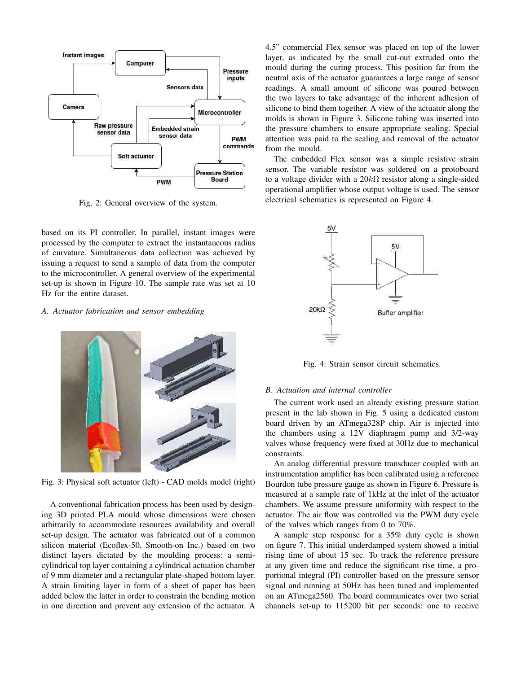

Fig. 2: General overview of the system.

based on its PI controller. In parallel, instant images were processed by the computer to extract the instantaneous radius of curvature. Simultaneous data collection was achieved by issuing a request to send a sample of data from the computer to the microcontroller. A general overview of the experimental set-up is shown in Figure 10. The sample rate was set at 10 Hz for the entire dataset.

### *A. Actuator fabrication and sensor embedding*



Fig. 3: Physical soft actuator (left) - CAD molds model (right)

A conventional fabrication process has been used by designing 3D printed PLA mould whose dimensions were chosen arbitrarily to accommodate resources availability and overall set-up design. The actuator was fabricated out of a common silicon material (Ecoflex-50, Smooth-on Inc.) based on two distinct layers dictated by the moulding process: a semicylindrical top layer containing a cylindrical actuation chamber of 9 mm diameter and a rectangular plate-shaped bottom layer. A strain limiting layer in form of a sheet of paper has been added below the latter in order to constrain the bending motion in one direction and prevent any extension of the actuator. A 4.5" commercial Flex sensor was placed on top of the lower layer, as indicated by the small cut-out extruded onto the mould during the curing process. This position far from the neutral axis of the actuator guarantees a large range of sensor readings. A small amount of silicone was poured between the two layers to take advantage of the inherent adhesion of silicone to bind them together. A view of the actuator along the molds is shown in Figure 3. Silicone tubing was inserted into the pressure chambers to ensure appropriate sealing. Special attention was paid to the sealing and removal of the actuator from the mould.

The embedded Flex sensor was a simple resistive strain sensor. The variable resistor was soldered on a protoboard to a voltage divider with a  $20k\Omega$  resistor along a single-sided operational amplifier whose output voltage is used. The sensor electrical schematics is represented on Figure 4.



Fig. 4: Strain sensor circuit schematics.

#### *B. Actuation and internal controller*

The current work used an already existing pressure station present in the lab shown in Fig. 5 using a dedicated custom board driven by an ATmega328P chip. Air is injected into the chambers using a 12V diaphragm pump and 3/2-way valves whose frequency were fixed at 30Hz due to mechanical constraints.

An analog differential pressure transducer coupled with an instrumentation amplifier has been calibrated using a reference Bourdon tube pressure gauge as shown in Figure 6. Pressure is measured at a sample rate of 1kHz at the inlet of the actuator chambers. We assume pressure uniformity with respect to the actuator. The air flow was controlled via the PWM duty cycle of the valves which ranges from 0 to 70%.

A sample step response for a 35% duty cycle is shown on figure 7. This initial underdamped system showed a initial rising time of about 15 sec. To track the reference pressure at any given time and reduce the significant rise time, a proportional integral (PI) controller based on the pressure sensor signal and running at 50Hz has been tuned and implemented on an ATmega2560. The board communicates over two serial channels set-up to 115200 bit per seconds: one to receive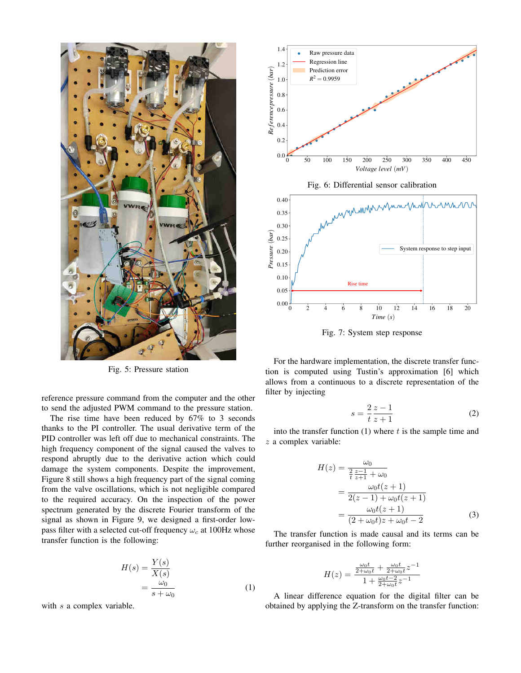

Fig. 5: Pressure station

reference pressure command from the computer and the other to send the adjusted PWM command to the pressure station.

The rise time have been reduced by 67% to 3 seconds thanks to the PI controller. The usual derivative term of the PID controller was left off due to mechanical constraints. The high frequency component of the signal caused the valves to respond abruptly due to the derivative action which could damage the system components. Despite the improvement, Figure 8 still shows a high frequency part of the signal coming from the valve oscillations, which is not negligible compared to the required accuracy. On the inspection of the power spectrum generated by the discrete Fourier transform of the signal as shown in Figure 9, we designed a first-order lowpass filter with a selected cut-off frequency  $\omega_c$  at 100Hz whose transfer function is the following:

$$
H(s) = \frac{Y(s)}{X(s)}
$$
  
= 
$$
\frac{\omega_0}{s + \omega_0}
$$
 (1)

with s a complex variable.



Fig. 7: System step response

For the hardware implementation, the discrete transfer function is computed using Tustin's approximation [6] which allows from a continuous to a discrete representation of the filter by injecting

$$
s = \frac{2}{t} \frac{z - 1}{z + 1} \tag{2}
$$

into the transfer function  $(1)$  where t is the sample time and z a complex variable:

$$
H(z) = \frac{\omega_0}{\frac{2}{t} \frac{z-1}{z+1} + \omega_0}
$$
  
= 
$$
\frac{\omega_0 t(z+1)}{2(z-1) + \omega_0 t(z+1)}
$$
  
= 
$$
\frac{\omega_0 t(z+1)}{(2 + \omega_0 t)z + \omega_0 t - 2}
$$
(3)

The transfer function is made causal and its terms can be further reorganised in the following form:

$$
H(z) = \frac{\frac{\omega_0 t}{2 + \omega_0 t} + \frac{\omega_0 t}{2 + \omega_0 t} z^{-1}}{1 + \frac{\omega_0 t - 2}{2 + \omega_0 t} z^{-1}}
$$

A linear difference equation for the digital filter can be obtained by applying the Z-transform on the transfer function: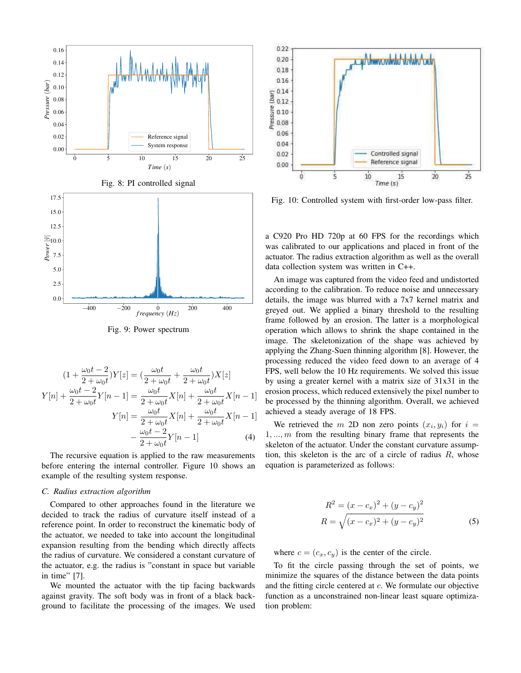

Fig. 9: Power spectrum

$$
(1 + \frac{\omega_0 t - 2}{2 + \omega_0 t})Y[z] = (\frac{\omega_0 t}{2 + \omega_0 t} + \frac{\omega_0 t}{2 + \omega_0 t})X[z]
$$
  

$$
Y[n] + \frac{\omega_0 t - 2}{2 + \omega_0 t}Y[n-1] = \frac{\omega_0 t}{2 + \omega_0 t}X[n] + \frac{\omega_0 t}{2 + \omega_0 t}X[n-1]
$$
  

$$
Y[n] = \frac{\omega_0 t}{2 + \omega_0 t}X[n] + \frac{\omega_0 t}{2 + \omega_0 t}X[n-1]
$$
  

$$
-\frac{\omega_0 t - 2}{2 + \omega_0 t}Y[n-1]
$$
(4)

The recursive equation is applied to the raw measurements before entering the internal controller. Figure 10 shows an example of the resulting system response.

# *C. Radius extraction algorithm*

Compared to other approaches found in the literature we decided to track the radius of curvature itself instead of a reference point. In order to reconstruct the kinematic body of the actuator, we needed to take into account the longitudinal expansion resulting from the bending which directly affects the radius of curvature. We considered a constant curvature of the actuator, e.g. the radius is "constant in space but variable in time" [7].

We mounted the actuator with the tip facing backwards against gravity. The soft body was in front of a black background to facilitate the processing of the images. We used



Fig. 10: Controlled system with first-order low-pass filter.

a C920 Pro HD 720p at 60 FPS for the recordings which was calibrated to our applications and placed in front of the actuator. The radius extraction algorithm as well as the overall data collection system was written in C++.

An image was captured from the video feed and undistorted according to the calibration. To reduce noise and unnecessary details, the image was blurred with a 7x7 kernel matrix and greyed out. We applied a binary threshold to the resulting frame followed by an erosion. The latter is a morphological operation which allows to shrink the shape contained in the image. The skeletonization of the shape was achieved by applying the Zhang-Suen thinning algorithm [8]. However, the processing reduced the video feed down to an average of 4 FPS, well below the 10 Hz requirements. We solved this issue by using a greater kernel with a matrix size of 31x31 in the erosion process, which reduced extensively the pixel number to be processed by the thinning algorithm. Overall, we achieved achieved a steady average of 18 FPS.

We retrieved the m 2D non zero points  $(x_i, y_i)$  for  $i =$  $1, \ldots, m$  from the resulting binary frame that represents the skeleton of the actuator. Under the constant curvature assumption, this skeleton is the arc of a circle of radius  $R$ , whose equation is parameterized as follows:

$$
R^{2} = (x - c_{x})^{2} + (y - c_{y})^{2}
$$
  

$$
R = \sqrt{(x - c_{x})^{2} + (y - c_{y})^{2}}
$$
 (5)

where  $c = (c_x, c_y)$  is the center of the circle.

To fit the circle passing through the set of points, we minimize the squares of the distance between the data points and the fitting circle centered at c. We formulate our objective function as a unconstrained non-linear least square optimization problem: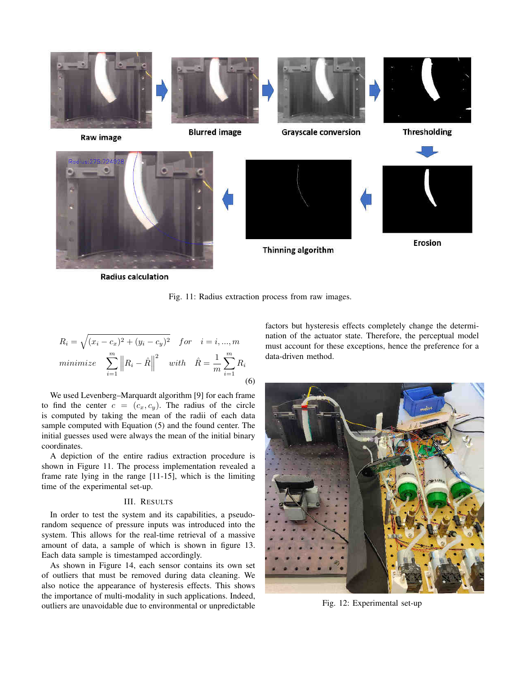

**Radius calculation** 

Fig. 11: Radius extraction process from raw images.

$$
R_i = \sqrt{(x_i - c_x)^2 + (y_i - c_y)^2} \quad for \quad i = i, ..., m
$$
  
*minimize* 
$$
\sum_{i=1}^{m} ||R_i - \hat{R}||^2 \quad with \quad \hat{R} = \frac{1}{m} \sum_{i=1}^{m} R_i
$$
  
(6)

We used Levenberg–Marquardt algorithm [9] for each frame to find the center  $c = (c_x, c_y)$ . The radius of the circle is computed by taking the mean of the radii of each data sample computed with Equation (5) and the found center. The initial guesses used were always the mean of the initial binary coordinates.

A depiction of the entire radius extraction procedure is shown in Figure 11. The process implementation revealed a frame rate lying in the range [11-15], which is the limiting time of the experimental set-up.

## III. RESULTS

In order to test the system and its capabilities, a pseudorandom sequence of pressure inputs was introduced into the system. This allows for the real-time retrieval of a massive amount of data, a sample of which is shown in figure 13. Each data sample is timestamped accordingly.

As shown in Figure 14, each sensor contains its own set of outliers that must be removed during data cleaning. We also notice the appearance of hysteresis effects. This shows the importance of multi-modality in such applications. Indeed, outliers are unavoidable due to environmental or unpredictable

factors but hysteresis effects completely change the determination of the actuator state. Therefore, the perceptual model must account for these exceptions, hence the preference for a data-driven method.



Fig. 12: Experimental set-up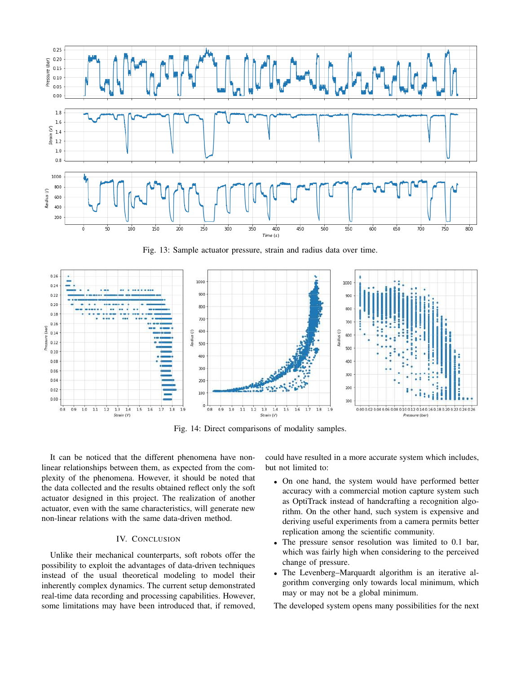

Fig. 13: Sample actuator pressure, strain and radius data over time.



Fig. 14: Direct comparisons of modality samples.

It can be noticed that the different phenomena have nonlinear relationships between them, as expected from the complexity of the phenomena. However, it should be noted that the data collected and the results obtained reflect only the soft actuator designed in this project. The realization of another actuator, even with the same characteristics, will generate new non-linear relations with the same data-driven method.

# IV. CONCLUSION

Unlike their mechanical counterparts, soft robots offer the possibility to exploit the advantages of data-driven techniques instead of the usual theoretical modeling to model their inherently complex dynamics. The current setup demonstrated real-time data recording and processing capabilities. However, some limitations may have been introduced that, if removed,

could have resulted in a more accurate system which includes, but not limited to:

- On one hand, the system would have performed better accuracy with a commercial motion capture system such as OptiTrack instead of handcrafting a recognition algorithm. On the other hand, such system is expensive and deriving useful experiments from a camera permits better replication among the scientific community.
- The pressure sensor resolution was limited to 0.1 bar, which was fairly high when considering to the perceived change of pressure.
- The Levenberg–Marquardt algorithm is an iterative algorithm converging only towards local minimum, which may or may not be a global minimum.

The developed system opens many possibilities for the next